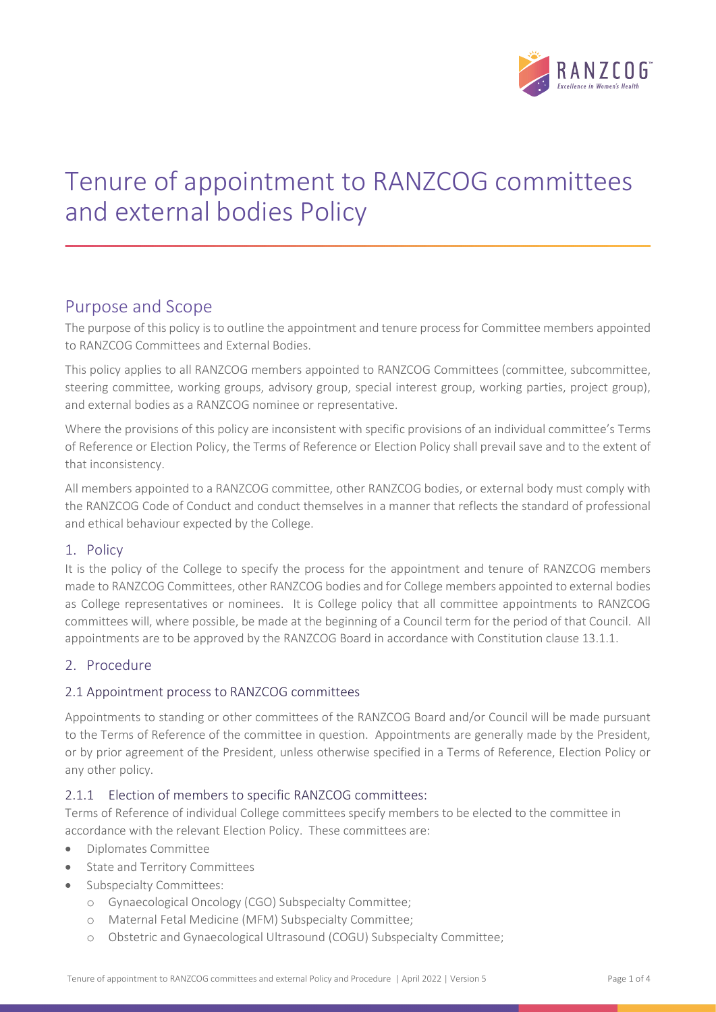

# Tenure of appointment to RANZCOG committees and external bodies Policy

# Purpose and Scope

The purpose of this policy is to outline the appointment and tenure process for Committee members appointed to RANZCOG Committees and External Bodies.

This policy applies to all RANZCOG members appointed to RANZCOG Committees (committee, subcommittee, steering committee, working groups, advisory group, special interest group, working parties, project group), and external bodies as a RANZCOG nominee or representative.

Where the provisions of this policy are inconsistent with specific provisions of an individual committee's Terms of Reference or Election Policy, the Terms of Reference or Election Policy shall prevail save and to the extent of that inconsistency.

All members appointed to a RANZCOG committee, other RANZCOG bodies, or external body must comply with the RANZCOG Code of Conduct and conduct themselves in a manner that reflects the standard of professional and ethical behaviour expected by the College.

#### 1. Policy

It is the policy of the College to specify the process for the appointment and tenure of RANZCOG members made to RANZCOG Committees, other RANZCOG bodies and for College members appointed to external bodies as College representatives or nominees. It is College policy that all committee appointments to RANZCOG committees will, where possible, be made at the beginning of a Council term for the period of that Council. All appointments are to be approved by the RANZCOG Board in accordance with Constitution clause 13.1.1.

## 2. Procedure

#### 2.1 Appointment process to RANZCOG committees

Appointments to standing or other committees of the RANZCOG Board and/or Council will be made pursuant to the Terms of Reference of the committee in question. Appointments are generally made by the President, or by prior agreement of the President, unless otherwise specified in a Terms of Reference, Election Policy or any other policy.

#### 2.1.1 Election of members to specific RANZCOG committees:

Terms of Reference of individual College committees specify members to be elected to the committee in accordance with the relevant Election Policy. These committees are:

- Diplomates Committee
- State and Territory Committees
- Subspecialty Committees:
	- o Gynaecological Oncology (CGO) Subspecialty Committee;
	- o Maternal Fetal Medicine (MFM) Subspecialty Committee;
	- o Obstetric and Gynaecological Ultrasound (COGU) Subspecialty Committee;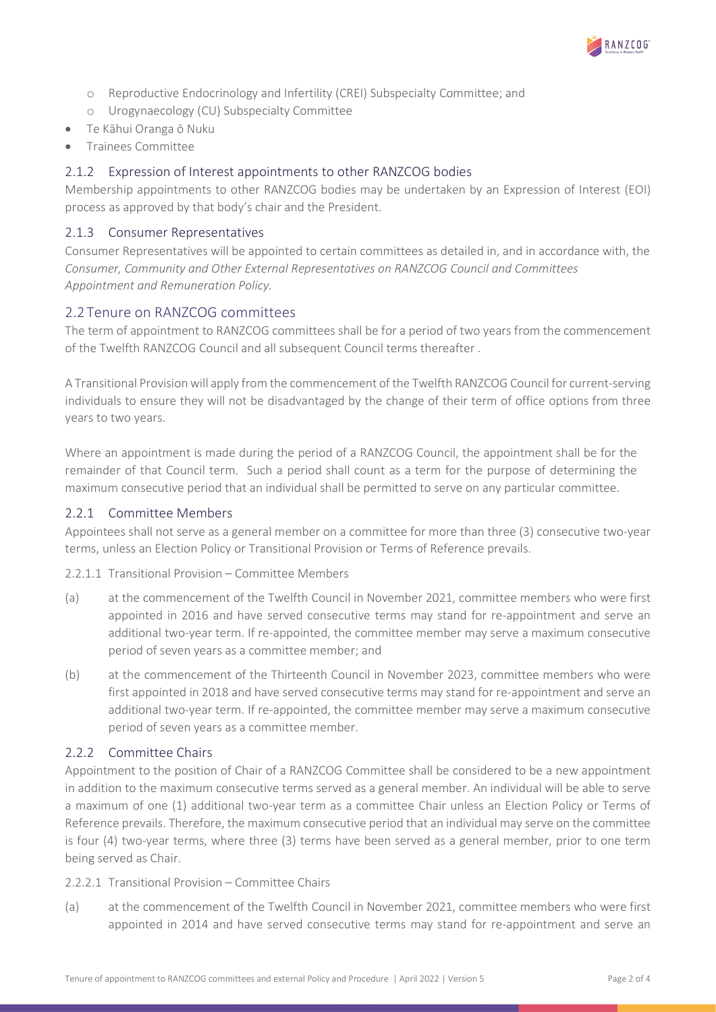

- o Reproductive Endocrinology and Infertility (CREI) Subspecialty Committee; and
- o Urogynaecology (CU) Subspecialty Committee
- Te Kāhui Oranga ō Nuku
- Trainees Committee

## 2.1.2 Expression of Interest appointments to other RANZCOG bodies

Membership appointments to other RANZCOG bodies may be undertaken by an Expression of Interest (EOI) process as approved by that body's chair and the President.

#### 2.1.3 Consumer Representatives

Consumer Representatives will be appointed to certain committees as detailed in, and in accordance with, the Consumer, Community and Other External Representatives on RANZCOG Council and Committees Appointment and Remuneration Policy.

### 2.2 Tenure on RANZCOG committees

The term of appointment to RANZCOG committees shall be for a period of two years from the commencement of the Twelfth RANZCOG Council and all subsequent Council terms thereafter .

A Transitional Provision will apply from the commencement of the Twelfth RANZCOG Council for current-serving individuals to ensure they will not be disadvantaged by the change of their term of office options from three years to two years.

Where an appointment is made during the period of a RANZCOG Council, the appointment shall be for the remainder of that Council term. Such a period shall count as a term for the purpose of determining the maximum consecutive period that an individual shall be permitted to serve on any particular committee.

#### 2.2.1 Committee Members

Appointees shall not serve as a general member on a committee for more than three (3) consecutive two-year terms, unless an Election Policy or Transitional Provision or Terms of Reference prevails.

2.2.1.1 Transitional Provision – Committee Members

- (a) at the commencement of the Twelfth Council in November 2021, committee members who were first appointed in 2016 and have served consecutive terms may stand for re-appointment and serve an additional two-year term. If re-appointed, the committee member may serve a maximum consecutive period of seven years as a committee member; and
- (b) at the commencement of the Thirteenth Council in November 2023, committee members who were first appointed in 2018 and have served consecutive terms may stand for re-appointment and serve an additional two-year term. If re-appointed, the committee member may serve a maximum consecutive period of seven years as a committee member.

#### 2.2.2 Committee Chairs

Appointment to the position of Chair of a RANZCOG Committee shall be considered to be a new appointment in addition to the maximum consecutive terms served as a general member. An individual will be able to serve a maximum of one (1) additional two-year term as a committee Chair unless an Election Policy or Terms of Reference prevails. Therefore, the maximum consecutive period that an individual may serve on the committee is four (4) two-year terms, where three (3) terms have been served as a general member, prior to one term being served as Chair.

2.2.2.1 Transitional Provision – Committee Chairs

(a) at the commencement of the Twelfth Council in November 2021, committee members who were first appointed in 2014 and have served consecutive terms may stand for re-appointment and serve an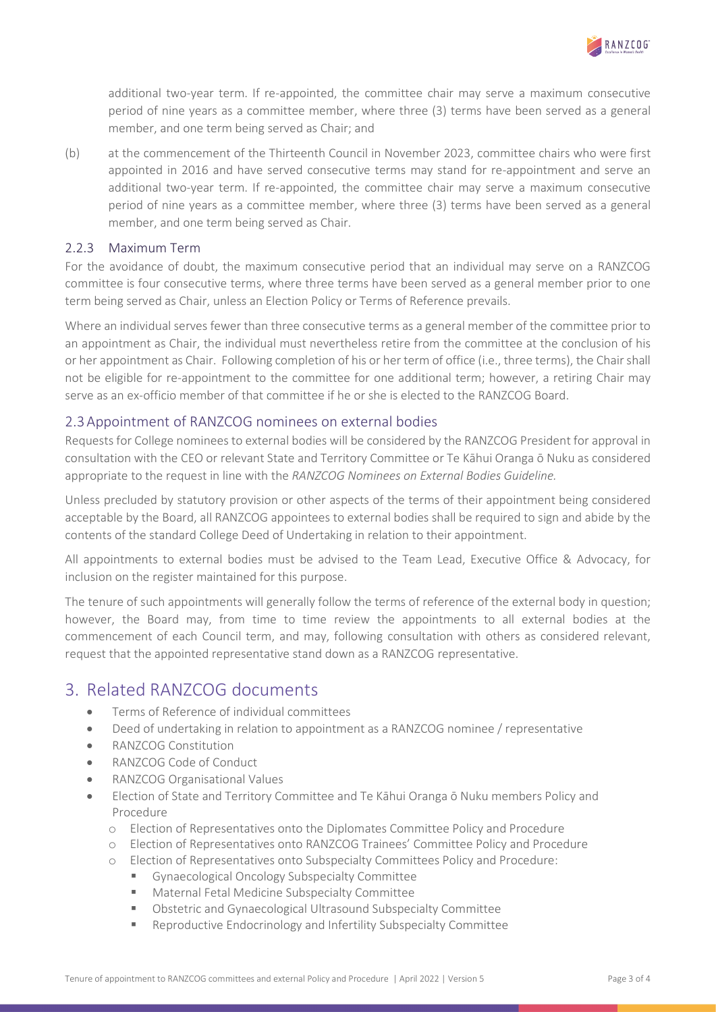

additional two-year term. If re-appointed, the committee chair may serve a maximum consecutive period of nine years as a committee member, where three (3) terms have been served as a general member, and one term being served as Chair; and

(b) at the commencement of the Thirteenth Council in November 2023, committee chairs who were first appointed in 2016 and have served consecutive terms may stand for re-appointment and serve an additional two-year term. If re-appointed, the committee chair may serve a maximum consecutive period of nine years as a committee member, where three (3) terms have been served as a general member, and one term being served as Chair.

#### 2.2.3 Maximum Term

For the avoidance of doubt, the maximum consecutive period that an individual may serve on a RANZCOG committee is four consecutive terms, where three terms have been served as a general member prior to one term being served as Chair, unless an Election Policy or Terms of Reference prevails.

Where an individual serves fewer than three consecutive terms as a general member of the committee prior to an appointment as Chair, the individual must nevertheless retire from the committee at the conclusion of his or her appointment as Chair. Following completion of his or her term of office (i.e., three terms), the Chair shall not be eligible for re-appointment to the committee for one additional term; however, a retiring Chair may serve as an ex-officio member of that committee if he or she is elected to the RANZCOG Board.

#### 2.3Appointment of RANZCOG nominees on external bodies

Requests for College nominees to external bodies will be considered by the RANZCOG President for approval in consultation with the CEO or relevant State and Territory Committee or Te Kāhui Oranga ō Nuku as considered appropriate to the request in line with the RANZCOG Nominees on External Bodies Guideline.

Unless precluded by statutory provision or other aspects of the terms of their appointment being considered acceptable by the Board, all RANZCOG appointees to external bodies shall be required to sign and abide by the contents of the standard College Deed of Undertaking in relation to their appointment.

All appointments to external bodies must be advised to the Team Lead, Executive Office & Advocacy, for inclusion on the register maintained for this purpose.

The tenure of such appointments will generally follow the terms of reference of the external body in question; however, the Board may, from time to time review the appointments to all external bodies at the commencement of each Council term, and may, following consultation with others as considered relevant, request that the appointed representative stand down as a RANZCOG representative.

# 3. Related RANZCOG documents

- Terms of Reference of individual committees
- Deed of undertaking in relation to appointment as a RANZCOG nominee / representative
- RANZCOG Constitution
- RANZCOG Code of Conduct
- RANZCOG Organisational Values
- Election of State and Territory Committee and Te Kāhui Oranga ō Nuku members Policy and Procedure
	- o Election of Representatives onto the Diplomates Committee Policy and Procedure
	- o Election of Representatives onto RANZCOG Trainees' Committee Policy and Procedure
	- o Election of Representatives onto Subspecialty Committees Policy and Procedure:
		- Gynaecological Oncology Subspecialty Committee
		- Maternal Fetal Medicine Subspecialty Committee
		- Obstetric and Gynaecological Ultrasound Subspecialty Committee
		- Reproductive Endocrinology and Infertility Subspecialty Committee